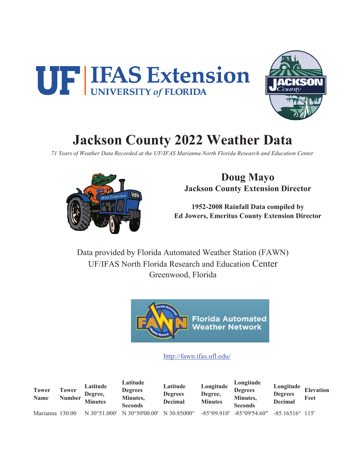



# **Jackson County 2022 Weather Data**

*71 Years of Weather Data Recorded at the UF/IFAS Marianna North Florida Research and Education Center*



**Doug Mayo Jackson County Extension Director**

**1952-2008 Rainfall Data compiled by Ed Jowers, Emeritus County Extension Director**

Data provided by Florida Automated Weather Station (FAWN) UF/IFAS North Florida Research and Education Center Greenwood, Florida



#### http://fawn.ifas.ufl.edu/

**Tower Name Tower Number Latitude Degree, Minutes Latitude Degrees Minutes, Seconds Latitude Degrees Decimal Longitude Degree, Minutes Longitude Degrees Minutes, Seconds Longitude Degrees Decimal Elevation Feet** Marianna 130.00 N 30°51.000' N 30°50'00.00' N 30.85000° -85°09.910' -85°09'54.60" -85.16516° 115'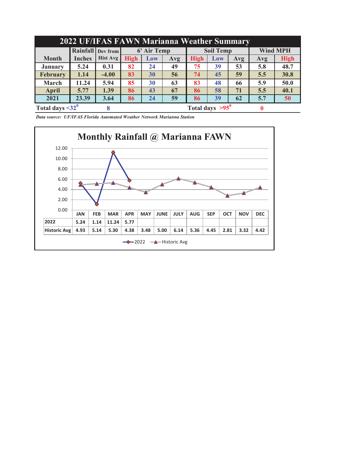| 2022 UF/IFAS FAWN Marianna Weather Summary |               |                          |             |             |     |             |                        |     |                 |             |  |  |  |
|--------------------------------------------|---------------|--------------------------|-------------|-------------|-----|-------------|------------------------|-----|-----------------|-------------|--|--|--|
|                                            |               | <b>Rainfall</b> Dev from |             | 6' Air Temp |     |             | <b>Soil Temp</b>       |     | <b>Wind MPH</b> |             |  |  |  |
| <b>Month</b>                               | <b>Inches</b> | <b>Hist Avg</b>          | <b>High</b> | Low         | Avg | <b>High</b> | Low                    | Avg | Avg             | <b>High</b> |  |  |  |
| <b>January</b>                             | 5.24          | 0.31                     | 82          | 24          | 49  | 75          | 39                     | 53  | 5.8             | 48.7        |  |  |  |
| <b>February</b>                            | 1.14          | $-4.00$                  | 83          | 30          | 56  | 74          | 45                     | 59  | 5.5             | 30.8        |  |  |  |
| March                                      | 11.24         | 5.94                     | 85          | 30          | 63  | 83          | 48                     | 66  | 5.9             | 50.0        |  |  |  |
| April                                      | 5.77          | 1.39                     | 86          | 43          | 67  | 86          | 58                     | 71  | 5.5             | 40.1        |  |  |  |
| 2021                                       | 23.39         | 3.64                     | 86          | 24          | 5.7 | 50          |                        |     |                 |             |  |  |  |
| Total days $\leq 32^0$                     |               |                          |             |             |     |             | Total days $>95^\circ$ |     |                 |             |  |  |  |

*Data source: UF/IFAS Florida Automated Weather Network Marianna Station*

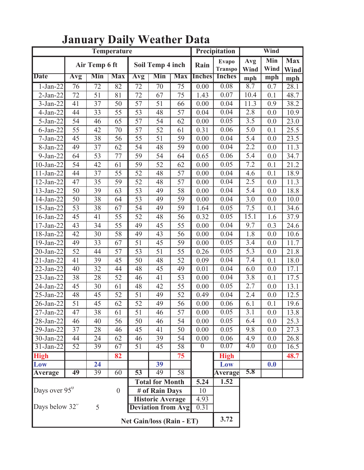|                           |                 |                 | Temperature                      |                 |                           | Precipitation   | Wind              |                         |             |                  |                    |
|---------------------------|-----------------|-----------------|----------------------------------|-----------------|---------------------------|-----------------|-------------------|-------------------------|-------------|------------------|--------------------|
|                           |                 | Air Temp 6 ft   |                                  |                 | Soil Temp 4 inch          |                 | Rain              | Evapo<br><b>Transpo</b> | Avg<br>Wind | Min<br>Wind      | <b>Max</b><br>Wind |
| <b>Date</b>               | Avg             | Min             | <b>Max</b>                       | Avg             | Min                       | <b>Max</b>      | <b>Inches</b>     | <b>Inches</b>           | mph         | mph              | mph                |
| $1-Jan-22$                | 76              | $\overline{72}$ | $\overline{82}$                  | $\overline{72}$ | $\overline{70}$           | $\overline{75}$ | $\overline{0.00}$ | 0.08                    | 8.7         | 0.7              | 28.1               |
| $2-Jan-22$                | 72              | 51              | 81                               | 72              | 67                        | 75              | 1.43              | 0.07                    | 10.4        | 0.1              | 48.7               |
| $3-Jan-22$                | 41              | 37              | 50                               | $\overline{57}$ | $\overline{51}$           | 66              | 0.00              | 0.04                    | 11.3        | 0.9              | 38.2               |
| $4-Jan-22$                | 44              | 33              | 55                               | 53              | 48                        | 57              | 0.04              | 0.04                    | 2.8         | 0.0              | 10.9               |
| $5 - Jan-22$              | 54              | 46              | 65                               | 57              | 54                        | 62              | 0.00              | 0.05                    | 3.5         | 0.0              | 23.0               |
| $6$ -Jan-22               | 55              | 42              | 70                               | 57              | 52                        | 61              | 0.31              | 0.06                    | 5.0         | 0.1              | 25.5               |
| $7-Jan-22$                | 45              | 38              | 56                               | 55              | 51                        | 59              | 0.00              | 0.04                    | 5.4         | 0.0              | 23.5               |
| 8-Jan-22                  | 49              | 37              | 62                               | 54              | 48                        | 59              | 0.00              | 0.04                    | 2.2         | 0.0              | 11.3               |
| $9-Jan-22$                | 64              | 53              | 77                               | 59              | 54                        | 64              | 0.65              | 0.06                    | 5.4         | 0.0              | 34.7               |
| $10$ -Jan-22              | 54              | 42              | 61                               | 59              | 52                        | 62              | 0.00              | 0.05                    | 7.2         | 0.1              | 21.2               |
| 11-Jan-22                 | 44              | 37              | 55                               | 52              | 48                        | 57              | 0.00              | 0.04                    | 4.6         | 0.1              | 18.9               |
| $12$ -Jan-22              | 47              | 35              | 59                               | 52              | 48                        | 57              | 0.00              | 0.04                    | 2.5         | 0.0              | 11.3               |
| 13-Jan-22                 | 50              | 39              | 63                               | 53              | 49                        | 58              | 0.00              | 0.04                    | 5.4         | 0.0              | 18.8               |
| 14-Jan-22                 | 50              | 38              | 64                               | 53              | 49                        | 59              | 0.00              | 0.04                    | 3.0         | 0.0              | 10.0               |
| 15-Jan-22                 | 53              | 38              | 67                               | 54              | 49                        | 59              | 1.64              | 0.05                    | 7.5         | 0.1              | 34.6               |
| 16-Jan-22                 | 45              | 41              | 55                               | 52              | 48                        | 56              | 0.32              | 0.05                    | 15.1        | 1.6              | 37.9               |
| 17-Jan-22                 | 43              | 34              | 55                               | 49              | 45                        | 55              | 0.00              | 0.04                    | 9.7         | 0.3              | 24.6               |
| 18-Jan-22                 | 42              | 30              | 58                               | 49              | 43                        | 56              | 0.00              | 0.04                    | 1.8         | 0.0              | 10.6               |
| 19-Jan-22                 | 49              | 33              | 67                               | 51              | 45                        | 59              | 0.00              | 0.05                    | 3.4         | 0.0              | 11.7               |
| 20-Jan-22                 | 52              | 44              | 57                               | 53              | 51                        | 55              | 0.26              | 0.05                    | 5.3         | 0.0              | 21.8               |
| $21-Jan-22$               | 41              | 39              | 45                               | 50              | 48                        | 52              | 0.09              | 0.04                    | 7.4         | 0.1              | 18.0               |
| $22-Jan-22$               | 40              | 32              | 44                               | 48              | 45                        | 49              | 0.01              | 0.04                    | 6.0         | 0.0              | 17.1               |
| 23-Jan-22                 | 38              | 28              | 52                               | 46              | 41                        | 53              | 0.00              | 0.04                    | 3.8         | 0.1              | 17.5               |
| 24-Jan-22                 | 45              | 30              | 61                               | 48              | 42                        | 55              | 0.00              | 0.05                    | 2.7         | 0.0              | 13.1               |
| 25-Jan-22                 | 48              | 45              | 52                               | 51              | 49                        | 52              | 0.49              | 0.04                    | 2.4         | 0.0              | 12.5               |
| 26-Jan-22                 | 51              | 45              | 62                               | 52              | 49                        | 56              | 0.00              | 0.06                    | 6.1         | 0.1              | 19.6               |
| $27$ -Jan-22              | 47              | 38              | 61                               | 51              | 46                        | 57              | 0.00              | 0.05                    | 3.1         | 0.0              | 13.8               |
| 28-Jan-22                 | 46              | 40              | 56                               | $\overline{50}$ | 46                        | 54              | 0.00              | 0.05                    | 6.4         | 0.0              | 25.3               |
| 29-Jan-22                 | 37              | 28              | 46                               | 45              | 41                        | 50              | 0.00              | 0.05                    | 9.8         | 0.0              | 27.3               |
| 30-Jan-22                 | 44              | 24              | 62                               | 46              | 39                        | 54              | 0.00              | 0.06                    | 4.9         | 0.0              | 26.8               |
| $31-Jan-22$               | $\overline{52}$ | $\overline{39}$ | 67                               | $\overline{51}$ | 45                        | $\overline{58}$ | $\sigma$          | 0.07                    | 4.0         | $\overline{0.0}$ | 16.5               |
| <b>High</b>               |                 |                 | 82                               |                 |                           | 75              |                   | <b>High</b>             |             |                  | 48.7               |
| Low                       |                 | 24              |                                  |                 | 39                        |                 |                   | Low                     |             | 0.0              |                    |
| <b>Average</b>            | 49              | $\overline{39}$ | 60                               | $\overline{53}$ | 49                        | 58              |                   | <b>Average</b>          | 5.8         |                  |                    |
|                           |                 |                 |                                  |                 | <b>Total for Month</b>    |                 | 5.24              | 1.52                    |             |                  |                    |
| Days over 95 <sup>0</sup> |                 |                 | $\boldsymbol{0}$                 |                 | # of Rain Days            |                 | 10                |                         |             |                  |                    |
|                           |                 |                 | <b>Historic Average</b>          |                 | 4.93                      |                 |                   |                         |             |                  |                    |
| Days below 32"            |                 | 5               |                                  |                 | <b>Deviation from Avg</b> |                 | 0.31              |                         |             |                  |                    |
|                           |                 |                 | <b>Net Gain/loss (Rain - ET)</b> | 3.72            |                           |                 |                   |                         |             |                  |                    |

## **January Daily Weather Data**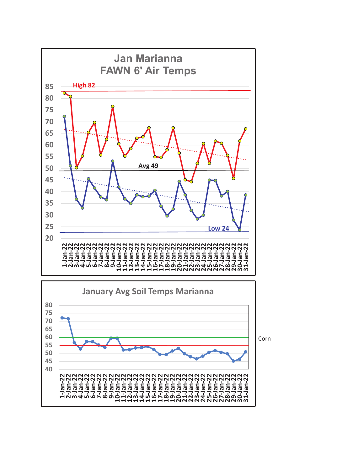

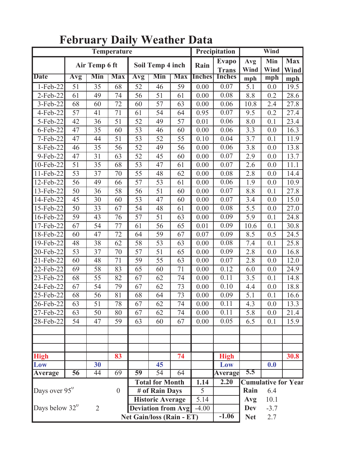|                         |                 |                 | Temperature      |                                                      |                                  |                 | Precipitation     | Wind                         |             |             |                            |
|-------------------------|-----------------|-----------------|------------------|------------------------------------------------------|----------------------------------|-----------------|-------------------|------------------------------|-------------|-------------|----------------------------|
|                         |                 | Air Temp 6 ft   |                  |                                                      | Soil Temp 4 inch                 |                 | Rain              | <b>Evapo</b><br><b>Trans</b> | Avg<br>Wind | Min<br>Wind | <b>Max</b><br><b>Wind</b>  |
| <b>Date</b>             | Avg             | Min             | <b>Max</b>       | Avg                                                  | Min                              | <b>Max</b>      | <b>Inches</b>     | <b>Inches</b>                | mph         | mph         | mph                        |
| $1-Feb-22$              | $\overline{51}$ | $\overline{35}$ | $\overline{68}$  | $\overline{52}$                                      | $\overline{46}$                  | $\overline{59}$ | $\overline{0.00}$ | 0.07                         | 5.1         | 0.0         | 19.5                       |
| 2-Feb-22                | 61              | 49              | 74               | 56                                                   | 51                               | 61              | 0.00              | 0.08                         | 8.8         | 0.2         | 28.6                       |
| 3-Feb-22                | 68              | 60              | $\overline{72}$  | 60                                                   | 57                               | 63              | 0.00              | 0.06                         | 10.8        | 2.4         | 27.8                       |
| 4-Feb-22                | 57              | 41              | 71               | 61                                                   | 54                               | 64              | 0.95              | 0.07                         | 9.5         | 0.2         | 27.4                       |
| 5-Feb-22                | 42              | 36              | 51               | 52                                                   | 49                               | 57              | 0.01              | 0.06                         | 8.0         | 0.1         | 23.4                       |
| $6$ -Feb-22             | 47              | 35              | 60               | 53                                                   | 46                               | 60              | 0.00              | 0.06                         | 3.3         | 0.0         | 16.3                       |
| 7-Feb-22                | 47              | 44              | 51               | 53                                                   | 52                               | 55              | 0.10              | 0.04                         | 3.7         | 0.1         | 11.9                       |
| 8-Feb-22                | 46              | 35              | 56               | 52                                                   | 49                               | 56              | 0.00              | 0.06                         | 3.8         | 0.0         | 13.8                       |
| 9-Feb-22                | 47              | 31              | 63               | 52                                                   | 45                               | 60              | 0.00              | 0.07                         | 2.9         | 0.0         | 13.7                       |
| 10-Feb-22               | 51              | 35              | 68               | 53                                                   | 47                               | 61              | 0.00              | 0.07                         | 2.6         | 0.0         | 11.1                       |
| 11-Feb-22               | 53              | 37              | 70               | 55                                                   | 48                               | 62              | 0.00              | 0.08                         | 2.8         | 0.0         | 14.4                       |
| 12-Feb-22               | 56              | 49              | 66               | $\overline{57}$                                      | 53                               | 61              | 0.00              | 0.06                         | 1.9         | 0.0         | 10.9                       |
| 13-Feb-22               | 50              | 36              | 58               | 56                                                   | 51                               | 60              | 0.00              | 0.07                         | 8.8         | 0.1         | 27.8                       |
| 14-Feb-22               | 45              | 30              | 60               | 53                                                   | 47                               | 60              | 0.00              | 0.07                         | 3.4         | 0.0         | 15.0                       |
| 15-Feb-22               | 50              | 33              | 67               | 54                                                   | 48                               | 61              | 0.00              | 0.08                         | 5.5         | 0.0         | 27.0                       |
| 16-Feb-22               | 59              | 43              | 76               | $\overline{57}$                                      | 51                               | 63              | 0.00              | 0.09                         | 5.9         | 0.1         | 24.8                       |
| 17-Feb-22               | 67              | 54              | 77               | 61                                                   | 56                               | 65              | 0.01              | 0.09                         | 10.6        | 0.1         | 30.8                       |
| 18-Feb-22               | 60              | 47              | 72               | 64                                                   | 59                               | 67              | 0.07              | 0.09                         | 8.5         | 0.5         | 24.5                       |
| $\overline{19}$ -Feb-22 | 48              | 38              | 62               | 58                                                   | 53                               | 63              | 0.00              | 0.08                         | 7.4         | 0.1         | 25.8                       |
| 20-Feb-22               | 53              | 37              | 70               | 57                                                   | 51                               | 65              | 0.00              | 0.09                         | 2.8         | 0.0         | 16.8                       |
| 21-Feb-22               | 60              | 48              | $\overline{71}$  | $\overline{59}$                                      | $\overline{55}$                  | 63              | 0.00              | 0.07                         | 2.8         | 0.0         | 12.0                       |
| 22-Feb-22               | 69              | 58              | 83               | 65                                                   | 60                               | 71              | 0.00              | 0.12                         | 6.0         | 0.0         | 24.9                       |
| 23-Feb-22               | 68              | 55              | $\overline{82}$  | 67                                                   | 62                               | 74              | 0.00              | 0.11                         | 3.5         | 0.1         | 14.8                       |
| 24-Feb-22               | 67              | 54              | 79               | 67                                                   | 62                               | 73              | 0.00              | 0.10                         | 4.4         | 0.0         | 18.8                       |
| 25-Feb-22               | 68              | 56              | 81               | 68                                                   | 64                               | 73              | 0.00              | 0.09                         | 5.1         | 0.1         | 16.6                       |
| 26-Feb-22               | 63              | 51              | 78               | 67                                                   | 62                               | 74              | 0.00              | 0.11                         | 4.3         | 0.0         | 13.3                       |
| $27$ -Feb-22            | 63              | 50              | 80               | 67                                                   | 62                               | 74              | 0.00              | 0.11                         | 5.8         | 0.0         | 21.4                       |
| 28-Feb-22               | 54              | 47              | 59               | 63                                                   | 60                               | 67              | 0.00              | 0.05                         | 6.5         | 0.1         | 15.9                       |
|                         |                 |                 |                  |                                                      |                                  |                 |                   |                              |             |             |                            |
|                         |                 |                 |                  |                                                      |                                  |                 |                   |                              |             |             |                            |
| <b>High</b>             |                 |                 | 83               |                                                      |                                  | $\overline{74}$ |                   | <b>High</b>                  |             |             | 30.8                       |
| Low                     |                 | 30              |                  |                                                      | 45                               |                 |                   | Low                          |             | 0.0         |                            |
| Average                 | 56              | 44              | 69               | $\overline{59}$                                      | $\overline{54}$                  | 64              |                   | <b>Average</b>               | 5.5         |             |                            |
|                         |                 |                 |                  |                                                      | <b>Total for Month</b>           |                 | 1.14              | 2.20                         |             |             | <b>Cumulative for Year</b> |
| Days over $95^{\circ}$  |                 |                 | $\boldsymbol{0}$ |                                                      | # of Rain Days                   |                 | 5                 |                              | Rain        | 6.4         |                            |
|                         |                 |                 |                  |                                                      |                                  |                 | $\overline{5.14}$ |                              | Avg         | 10.1        |                            |
| Days below $32^0$       |                 | $\overline{2}$  |                  | <b>Historic Average</b><br><b>Deviation from Avg</b> |                                  |                 | $-4.00$           |                              | <b>Dev</b>  | $-3.7$      |                            |
|                         |                 |                 |                  |                                                      | <b>Net Gain/loss (Rain - ET)</b> |                 |                   | $-1.06$                      | <b>Net</b>  | 2.7         |                            |

### **February Daily Weather Data**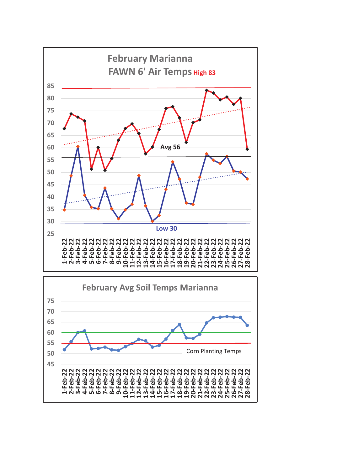

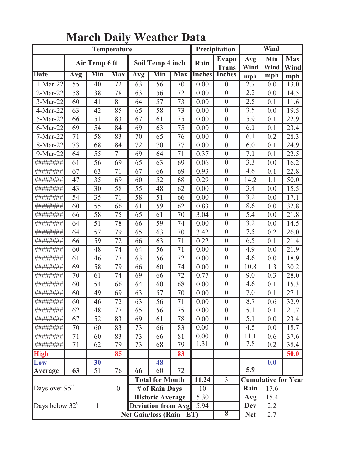|                           |                 |                 | Temperature             |     |                                  |                 | Precipitation | Wind                         |                            |             |                    |
|---------------------------|-----------------|-----------------|-------------------------|-----|----------------------------------|-----------------|---------------|------------------------------|----------------------------|-------------|--------------------|
|                           |                 | Air Temp 6 ft   |                         |     | Soil Temp 4 inch                 |                 | Rain          | <b>Evapo</b><br><b>Trans</b> | Avg<br>Wind                | Min<br>Wind | <b>Max</b><br>Wind |
| <b>Date</b>               | Avg             | Min             | <b>Max</b>              | Avg | Min                              | <b>Max</b>      | <b>Inches</b> | Inches                       | mph                        | mph         | mph                |
| $1-Mar-22$                | 55              | 40              | 72                      | 63  | 56                               | 70              | 0.00          | $\mathbf{0}$                 | 2.7                        | 0.0         | 13.0               |
| $2-Mar-22$                | 58              | 38              | 78                      | 63  | 56                               | 72              | 0.00          | $\mathbf{0}$                 | 2.2                        | 0.0         | 14.5               |
| 3-Mar-22                  | 60              | 41              | 81                      | 64  | 57                               | 73              | 0.00          | $\overline{0}$               | 2.5                        | 0.1         | 11.6               |
| 4-Mar-22                  | 63              | 42              | 85                      | 65  | 58                               | 73              | 0.00          | $\mathbf{0}$                 | 3.5                        | 0.0         | 19.5               |
| 5-Mar-22                  | 66              | 51              | 83                      | 67  | 61                               | 75              | 0.00          | $\overline{0}$               | $\overline{5}$ .9          | 0.1         | 22.9               |
| $6$ -Mar-22               | 69              | 54              | 84                      | 69  | 63                               | 75              | 0.00          | $\mathbf{0}$                 | 6.1                        | 0.1         | 23.4               |
| 7-Mar-22                  | 71              | 58              | 83                      | 70  | 65                               | 76              | 0.00          | $\overline{0}$               | 6.1                        | 0.2         | 28.3               |
| 8-Mar-22                  | 73              | 68              | 84                      | 72  | 70                               | 77              | 0.00          | $\mathbf{0}$                 | 6.0                        | 0.1         | 24.9               |
| 9-Mar-22                  | 64              | 55              | 71                      | 69  | 64                               | 71              | 0.37          | $\boldsymbol{0}$             | 7.1                        | 0.1         | 22.5               |
| ########                  | 61              | 56              | 69                      | 65  | 63                               | 69              | 0.06          | $\mathbf{0}$                 | $\overline{3}.3$           | 0.0         | 16.2               |
| ########                  | 67              | 63              | 71                      | 67  | 66                               | 69              | 0.93          | $\mathbf{0}$                 | 4.6                        | 0.1         | 22.8               |
| ########                  | 47              | 35              | 69                      | 60  | 52                               | 68              | 0.29          | $\overline{0}$               | 14.2                       | 1.1         | 50.0               |
| ########                  | 43              | 30              | 58                      | 55  | 48                               | 62              | 0.00          | $\boldsymbol{0}$             | 3.4                        | 0.0         | 15.5               |
| ########                  | 54              | 35              | 71                      | 58  | 51                               | 66              | 0.00          | $\overline{0}$               | 3.2                        | 0.0         | 17.1               |
| ########                  | 60              | 55              | 66                      | 61  | 59                               | 62              | 0.83          | $\mathbf{0}$                 | 8.6                        | 0.0         | 32.8               |
| ########                  | 66              | 58              | 75                      | 65  | 61                               | 70              | 3.04          | $\overline{0}$               | 5.4                        | 0.0         | 21.8               |
| ########                  | 64              | 51              | 78                      | 66  | 59                               | 74              | 0.00          | $\mathbf{0}$                 | 3.2                        | 0.0         | 14.5               |
| ########                  | 64              | 57              | 79                      | 65  | 63                               | 70              | 3.42          | $\mathbf{0}$                 | 7.5                        | 0.2         | 26.0               |
| ########                  | 66              | 59              | 72                      | 66  | 63                               | 71              | 0.22          | $\mathbf{0}$                 | 6.5                        | 0.1         | 21.4               |
| ########                  | 60              | 48              | 74                      | 64  | 56                               | 71              | 0.00          | $\mathbf{0}$                 | 4.9                        | 0.0         | 21.9               |
| ########                  | 61              | 46              | 77                      | 63  | 56                               | 72              | 0.00          | $\overline{0}$               | 4.6                        | 0.0         | 18.9               |
| ########                  | 69              | 58              | 79                      | 66  | 60                               | 74              | 0.00          | $\boldsymbol{0}$             | 10.8                       | 1.3         | 30.2               |
| ########                  | 70              | 61              | 74                      | 69  | 66                               | 72              | 0.77          | $\overline{0}$               | 9.0                        | 0.3         | 28.0               |
| ########                  | 60              | 54              | 66                      | 64  | 60                               | 68              | 0.00          | $\mathbf{0}$                 | 4.6                        | 0.1         | 15.3               |
| ########                  | 60              | 49              | 69                      | 63  | 57                               | 70              | 0.00          | $\mathbf{0}$                 | 7.0                        | 0.1         | 27.1               |
| ########                  | 60              | 46              | 72                      | 63  | 56                               | 71              | 0.00          | $\mathbf{0}$                 | 8.7                        | 0.6         | 32.9               |
| ########                  | 62              | 48              | 77                      | 65  | 56                               | 75              | 0.00          | $\theta$                     | 5.1                        | 0.1         | 21.7               |
|                           | 67              | $\overline{52}$ | 83                      | 69  | 61                               | 78              | 0.00          | $\boldsymbol{0}$             | $\overline{5.1}$           | 0.0         | 23.4               |
|                           | 70              | 60              | 83                      | 73  | 66                               | 83              | 0.00          | $\boldsymbol{0}$             | 4.5                        | 0.0         | 18.7               |
|                           | 71              | 60              | 83                      | 73  | 66                               | 81              | 0.00          | $\boldsymbol{0}$             | 11.1                       | 0.6         | 37.6               |
| ########                  | 71              | 62              | 79                      | 73  | 68                               | 79              | 1.31          | $\overline{0}$               | 7.8                        | 0.2         | 38.4               |
| <b>High</b>               |                 |                 | 85                      |     |                                  | 83              |               |                              |                            |             | 50.0               |
| Low                       |                 | 30              |                         |     | 48                               |                 |               |                              |                            | 0.0         |                    |
| Average                   | $\overline{63}$ | $\overline{51}$ | $\overline{76}$         | 66  | 60                               | $\overline{72}$ |               |                              | 5.9                        |             |                    |
|                           |                 |                 | <b>Total for Month</b>  |     | 11.24                            | $\overline{3}$  |               |                              | <b>Cumulative for Year</b> |             |                    |
| Days over 95 <sup>0</sup> | $\mathbf{0}$    |                 | # of Rain Days          |     | 10                               |                 | Rain          | 17.6                         |                            |             |                    |
|                           |                 |                 | <b>Historic Average</b> |     | 5.30                             |                 | Avg           | 15.4                         |                            |             |                    |
| Days below $32^0$         |                 | $\mathbf{1}$    |                         |     | <b>Deviation from Avg</b>        |                 | 5.94          |                              | <b>Dev</b>                 | 2.2         |                    |
|                           |                 |                 |                         |     | <b>Net Gain/loss (Rain - ET)</b> |                 |               | $\overline{\mathbf{8}}$      | <b>Net</b>                 | 2.7         |                    |

#### **March Daily Weather Data**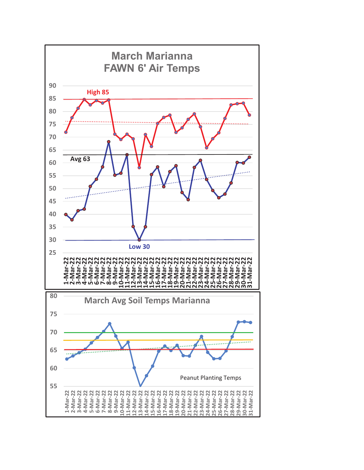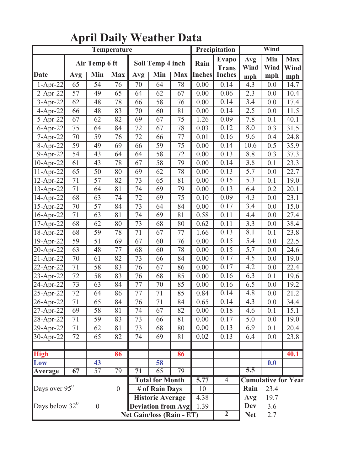|                           |     |                       | Temperature      |                                |                           |                  |               | Precipitation                | Wind        |             |                            |  |
|---------------------------|-----|-----------------------|------------------|--------------------------------|---------------------------|------------------|---------------|------------------------------|-------------|-------------|----------------------------|--|
|                           |     | Air Temp 6 ft         |                  |                                | Soil Temp 4 inch          |                  | Rain          | <b>Evapo</b><br><b>Trans</b> | Avg<br>Wind | Min<br>Wind | <b>Max</b><br>Wind         |  |
| <b>Date</b>               | Avg | Min                   | <b>Max</b>       | Avg                            | Min                       | <b>Max</b>       | <b>Inches</b> | <b>Inches</b>                | mph         | mph         | mph                        |  |
| $1-Apr-22$                | 65  | $\overline{54}$       | $\overline{76}$  | $\overline{70}$                | 64                        | 78               | 0.00          | 0.14                         | 4.3         | 0.0         | 14.7                       |  |
| $2$ -Apr-22               | 57  | 49                    | 65               | 64                             | 62                        | 67               | 0.00          | 0.06                         | 2.3         | 0.0         | 10.4                       |  |
| $3-Apr-22$                | 62  | 48                    | 78               | 66                             | 58                        | 76               | 0.00          | 0.14                         | 3.4         | 0.0         | 17.4                       |  |
| $4-Apr-22$                | 66  | 48                    | 83               | 70                             | 60                        | 81               | 0.00          | 0.14                         | 2.5         | 0.0         | 11.5                       |  |
| $5 - Apr-22$              | 67  | 62                    | 82               | 69                             | 67                        | 75               | 1.26          | 0.09                         | 7.8         | 0.1         | 40.1                       |  |
| $6$ -Apr-22               | 75  | 64                    | 84               | 72                             | 67                        | 78               | 0.03          | 0.12                         | 8.0         | 0.3         | 31.5                       |  |
| $7 - Apr-22$              | 70  | 59                    | 76               | 72                             | 66                        | 77               | 0.01          | 0.16                         | 9.6         | 0.4         | 24.8                       |  |
| 8-Apr-22                  | 59  | 49                    | 69               | 66                             | 59                        | 75               | 0.00          | 0.14                         | 10.6        | 0.5         | 35.9                       |  |
| 9-Apr-22                  | 54  | 43                    | 64               | 64                             | 58                        | 72               | 0.00          | 0.13                         | 8.8         | 0.3         | 37.3                       |  |
| 10-Apr-22                 | 61  | 43                    | 78               | 67                             | 58                        | 79               | 0.00          | 0.14                         | 3.8         | 0.1         | 23.3                       |  |
| 11-Apr-22                 | 65  | 50                    | 80               | 69                             | 62                        | 78               | 0.00          | 0.13                         | 5.7         | 0.0         | 22.7                       |  |
| 12-Apr-22                 | 71  | 57                    | 82               | 73<br>0.15<br>65<br>81<br>0.00 |                           | $\overline{5.3}$ | 0.1           | 19.0                         |             |             |                            |  |
| $13$ -Apr-22              | 71  | 64                    | 81               | 74                             | 69                        | 79               | 0.00          | 0.13                         | 6.4         | 0.2         | 20.1                       |  |
| 14-Apr-22                 | 68  | 63                    | 74               | 72                             | 69                        | 75               | 0.10          | 0.09                         | 4.3         | 0.0         | 23.1                       |  |
| 15-Apr-22                 | 70  | 57                    | 84               | 73                             | 64                        | 84               | 0.00          | 0.17                         | 3.4         | 0.0         | 15.0                       |  |
| 16-Apr-22                 | 71  | 63                    | 81               | 74                             | 69                        | 81               | 0.58          | 0.11                         | 4.4         | 0.0         | 27.4                       |  |
| 17-Apr-22                 | 68  | 62                    | 80               | 73                             | 68                        | 80               | 0.62          | 0.11                         | 3.3         | 0.0         | 38.4                       |  |
| 18-Apr-22                 | 68  | 59                    | 78               | 71                             | 67                        | 77               | 1.66          | $\overline{0.13}$            | 8.1         | 0.1         | 23.8                       |  |
| 19-Apr-22                 | 59  | 51                    | 69               | 67                             | 60                        | 76               | 0.00          | 0.15                         | 5.4         | 0.0         | 22.5                       |  |
| 20-Apr-22                 | 63  | 48                    | 77               | 68                             | 60                        | 78               | 0.00          | 0.15                         | 5.7         | 0.0         | 24.6                       |  |
| $21 - Apr-22$             | 70  | 61                    | 82               | 73                             | 66                        | 84               | 0.00          | 0.17                         | 4.5         | 0.0         | 19.0                       |  |
| 22-Apr-22                 | 71  | 58                    | 83               | 76                             | 67                        | 86               | 0.00          | 0.17                         | 4.2         | 0.0         | 22.4                       |  |
| 23-Apr-22                 | 72  | 58                    | 83               | 76                             | 68                        | 85               | 0.00          | 0.16                         | 6.3         | 0.1         | 19.6                       |  |
| 24-Apr-22                 | 73  | 63                    | 84               | 77                             | 70                        | 85               | 0.00          | 0.16                         | 6.5         | 0.0         | 19.2                       |  |
| 25-Apr-22                 | 72  | 64                    | 86               | 77                             | 71                        | 85               | 0.84          | 0.14                         | 4.8         | 0.0         | 21.2                       |  |
| 26-Apr-22                 | 71  | 65                    | 84               | 76                             | 71                        | 84               | 0.65          | 0.14                         | 4.3         | 0.0         | 34.4                       |  |
| $27$ -Apr-22              | 69  | 58                    | 81               | 74                             | 67                        | 82               | 0.00          | 0.18                         | 4.6         | 0.1         | 15.1                       |  |
| 28-Apr-22                 | 71  | 59                    | 83               | 73                             | 66                        | 81               | 0.00          | 0.17                         | 5.0         | 0.0         | 19.0                       |  |
| $29 - Apr - 22$           | 71  | 62                    | 81               | 73                             | 68                        | 80               | 0.00          | 0.13                         | 6.9         | 0.1         | 20.4                       |  |
| 30-Apr-22                 | 72  | 65                    | 82               | 74                             | 69                        | 81               | 0.02          | 0.13                         | 6.4         | 0.0         | 23.8                       |  |
|                           |     |                       |                  |                                |                           |                  |               |                              |             |             |                            |  |
| <b>High</b>               |     |                       | 86               |                                |                           | 86               |               |                              |             |             | 40.1                       |  |
| Low                       | 67  | 43<br>$\overline{57}$ |                  |                                | 58                        |                  |               |                              | 5.5         | 0.0         |                            |  |
| <b>Average</b>            | 79  | $\overline{71}$       | $\overline{65}$  | 79                             |                           |                  |               |                              |             |             |                            |  |
|                           |     |                       |                  |                                | <b>Total for Month</b>    |                  | 5.77          | $\overline{4}$               | Rain        |             | <b>Cumulative for Year</b> |  |
| Days over 95 <sup>0</sup> |     |                       | $\boldsymbol{0}$ |                                | # of Rain Days            |                  | 10            |                              |             | 23.4        |                            |  |
|                           |     |                       |                  |                                | <b>Historic Average</b>   |                  | 4.38          |                              | Avg         | 19.7        |                            |  |
| Days below $32^0$         |     | $\boldsymbol{0}$      |                  |                                | <b>Deviation from Avg</b> |                  | 1.39          | $\overline{2}$               | <b>Dev</b>  | 3.6         |                            |  |
|                           |     |                       |                  |                                | Net Gain/loss (Rain - ET) |                  |               |                              | <b>Net</b>  | 2.7         |                            |  |

## **April Daily Weather Data**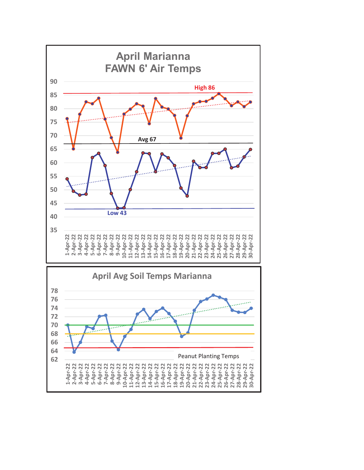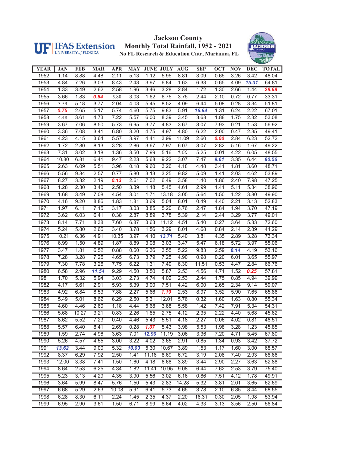

#### **Jackson County Monthly Total Rainfall, 1952 - 2021 No FL Research & Education Cntr, Marianna, FL**



| <b>YEAR</b> | <b>JAN</b> | <b>FEB</b> | <b>MAR</b> | <b>APR</b> | <b>MAY</b> | <b>JUNE JULY</b> |       | <b>AUG</b> | <b>SEP</b> | <b>OCT</b> | NOV  | <b>DEC</b> | <b>TOTAL</b> |
|-------------|------------|------------|------------|------------|------------|------------------|-------|------------|------------|------------|------|------------|--------------|
| 1952        | 1.14       | 8.88       | 4.48       | 2.11       | 5.13       | 1.12             | 5.95  | 8.81       | 3.09       | 0.65       | 3.26 | 3.42       | 48.04        |
| 1953        | 4.84       | 7.26       | 3.03       | 8.43       | 2.43       | 3.97             | 6.84  | 1.63       | 6.33       | 0.65       | 4.09 | 15.31      | 64.81        |
| 1954        | 1.33       | 3.49       | 2.62       | 2.58       | 1.96       | 3.46             | 3.28  | 2.84       | 1.72       | 1.30       | 2.66 | 1.44       | 28.68        |
| 1955        | 3.66       | 1.83       | 0.84       | 5.80       | 3.03       | 1.62             | 6.75  | 3.75       | 2.44       | 2.10       | 0.72 | 0.77       | 33.31        |
| 1956        | 3.59       | 5.18       | 3.77       | 2.04       | 4.03       | 5.45             | 8.52  | 4.09       | 6.44       | 5.08       | 0.28 | 3.34       | 51.81        |
| 1957        | 0.75       | 2.65       | 5.17       | 5.74       | 4.60       | 5.75             | 9.83  | 5.91       | 16.84      | 1.31       | 6.24 | 2.22       | 67.01        |
| 1958        | 4.48       | 3.61       | 4.73       | 7.22       | 5.57       | 6.00             | 8.39  | 3.45       | 3.68       | 1.88       | 1.75 | 2.32       | 53.08        |
| 1959        | 3.67       | 7.06       | 8.50       | 5.73       | 6.95       | 3.77             | 4.83  | 3.67       | 3.07       | 7.93       | 0.21 | 1.53       | 56.92        |
| 1960        | 3.36       | 7.08       | 3.41       | 6.80       | 3.20       | 4.75             | 4.97  | 4.80       | 6.22       | 2.00       | 0.47 | 2.35       | 49.41        |
| 1961        | 4.23       | 4.15       | 3.64       | 5.57       | 3.97       | 4.41             | 3.99  | 11.09      | 2.60       | 0.00       | 2.84 | 6.23       | 52.72        |
| 1962        | 1.72       | 2.80       | 8.13       | 3.28       | 2.86       | 3.67             | 7.97  | 6.07       | 3.07       | 2.82       | 5.16 | 1.67       | 49.22        |
| 1963        | 7.31       | 3.02       | 3.18       | 1.36       | 3.50       | 7.99             | 5.16  | 1.50       | 5.25       | 0.01       | 4.22 | 6.05       | 48.55        |
| 1964        | 10.80      | 6.81       | 6.41       | 9.47       | 2.23       | 5.68             | 9.22  | 3.07       | 7.47       | 9.61       | 3.35 | 6.44       | 80.56        |
| 1965        | 2.63       | 6.09       | 5.51       | 3.96       | 0.18       | 9.60             | 3.26  | 4.18       | 4.48       | 3.41       | 1.81 | 3.60       | 48.71        |
| 1966        | 5.56       | 9.84       | 2.57       | 0.77       | 5.80       | 3.13             | 3.25  | 9.82       | 5.09       | 1.41       | 2.03 | 4.62       | 53.89        |
| 1967        | 8.27       | 3.32       | 2.19       | 0.13       | 2.61       | 7.02             | 6.49  | 3.58       | 1.40       | 1.86       | 2.40 | 7.98       | 47.25        |
| 1968        | 1.28       | 2.30       | 3.40       | 2.50       | 3.39       | 1.18             | 5.45  | 4.61       | 2.99       | 1.41       | 5.11 | 5.34       | 38.96        |
| 1969        | 1.68       | 3.49       | 7.08       | 4.54       | 3.01       | 1.71             | 13.18 | 3.05       | 5.64       | 1.50       | 1.22 | 3.80       | 49.90        |
| 1970        | 4.16       | 9.20       | 8.86       | 1.83       | 1.81       | 3.69             | 5.04  | 8.01       | 0.49       | 4.40       | 2.21 | 3.13       | 52.83        |
| 1971        | 1.97       | 6.11       | 7.15       | 3.17       | 3.03       | 3.85             | 5.20  | 6.76       | 2.47       | 1.84       | 1.94 | 3.70       | 47.19        |
| 1972        | 3.62       | 6.03       | 6.41       | 0.38       | 2.87       | 8.89             | 3.78  | 5.39       | 2.14       | 2.44       | 3.29 | 3.77       | 49.01        |
| 1973        | 8.14       | 7.71       | 8.38       | 7.60       | 6.87       | 3.63             | 11.12 | 4.51       | 5.40       | 0.27       | 3.64 | 5.33       | 72.60        |
| 1974        | 5.24       | 5.80       | 2.66       | 3.40       | 3.78       | 1.56             | 3.29  | 8.01       | 4.68       | 0.84       | 2.14 | 2.89       | 44.29        |
| 1975        | 10.21      | 6.36       | 4.91       | 10.35      | 3.97       | 4.10             | 13.71 | 5.40       | 3.81       | 4.35       | 2.89 | 3.28       | 73.34        |
| 1976        | 6.99       | 1.50       | 4.89       | 1.87       | 8.89       | 3.08             | 3.03  | 3.47       | 5.47       | 6.18       | 5.72 | 3.97       | 55.06        |
| 1977        | 3.47       | 1.81       | 6.52       | 0.88       | 0.60       | 6.36             | 3.55  | 5.22       | 9.83       | 2.59       | 8.14 | 4.19       | 53.16        |
| 1978        | 7.28       | 3.28       | 7.25       | 4.65       | 6.73       | 3.79             | 7.25  | 4.90       | 0.98       | 0.20       | 6.01 | 3.65       | 55.97        |
| 1979        | 7.30       | 7.78       | 3.26       | 7.75       | 6.22       | 1.31             | 7.49  | 6.30       | 11.51      | 0.53       | 4.47 | 2.84       | 66.76        |
| 1980        | 6.58       | 2.96       | 11.54      | 9.29       | 4.50       | 3.50             | 5.87  | 2.53       | 4.56       | 4.71       | 1.52 | 0.25       | 57.81        |
| 1981        | 1.70       | 5.32       | 5.94       | 3.03       | 2.73       | 4.74             | 4.02  | 2.53       | 2.44       | 1.75       | 0.85 | 4.94       | 39.99        |
| 1982        | 4.17       | 5.61       | 2.91       | 5.93       | 5.39       | 3.00             | 7.51  | 4.42       | 6.00       | 2.65       | 2.34 | 9.14       | 59.07        |
| 1983        | 4.92       | 6.84       | 8.53       | 7.88       | 2.27       | 5.66             | 1.19  | 2.53       | 8.97       | 3.52       | 5.90 | 7.65       | 65.86        |
| 1984        | 5.49       | 5.01       | 8.62       | 6.29       | 2.50       | 5.31             | 12.01 | 5.76       | 0.32       | 1.60       | 1.63 | 0.80       | 55.34        |
| 1985        | 4.60       | 4.46       | 2.60       | 1.18       | 4.44       | 5.68             | 3.68  | 5.58       | 1.42       | 7.42       | 7.91 | 5.34       | 54.31        |
| 1986        | 5.68       | 10.27      | 3.21       | 0.83       | 2.26       | 1.85             | 2.75  | 4.12       | 2.35       | 2.22       | 4.40 | 5.68       | 45.62        |
| 1987        | 8.62       | 5.52       | 7.23       | 0.40       | 4.46       | 5.43             | 5.51  | 4.18       | 2.27       | 0.06       | 4.02 | 0.81       | 48.51        |
| 1988        | 5.57       | 6.40       | 8.41       | 2.69       | 0.28       | 1.07             | 5.43  | 3.98       | 5.53       | 1.98       | 3.28 | 1.23       | 45.85        |
| 1989        | 1.59       | 2.74       | 4.96       | 3.63       | 7.01       | 12.90            | 11.19 | 3.06       | 3.36       | 7.20       | 4.71 | 5.45       | 67.80        |
| 1990        | 5.26       | 4.57       | 4.55       | 3.00       | 3.22       | 4.02             | 3.65  | 2.91       | 0.85       | 1.34       | 0.93 | 3.42       | 37.72        |
| 1991        | 13.62      | 3.44       | 9.00       | 5.32       | 10.03      | 5.30             | 10.67 | 3.89       | 1.53       | 1.17       | 1.60 | 3.00       | 68.57        |
| 1992        | 8.37       | 6.29       | 7.92       | 2.50       | 1.41       | 11.16            | 8.69  | 6.72       | 3.19       | 2.08       | 7.40 | 2.93       | 68.66        |
| 1993        | 12.00      | 3.38       | 7.41       | 1.50       | 1.60       | 4.18             | 6.68  | 3.89       | 3.44       | 2.90       | 2.27 | 3.63       | 52.88        |
| 1994        | 8.64       | 2.53       | 6.25       | 4.34       | 1.82       | 11.41            | 10.95 | 9.08       | 6.44       | 7.62       | 2.53 | 3.79       | 75.40        |
| 1995        | 5.23       | 3.13       | 4.29       | 4.35       | 3.90       | 5.56             | 3.02  | 6.16       | 0.86       | 7.51       | 4.12 | 1.78       | 49.91        |
| 1996        | 3.64       | 5.99       | 8.47       | 5.76       | 1.50       | 5.43             | 2.83  | 14.28      | 5.32       | 3.81       | 2.01 | 3.65       | 62.69        |
| 1997        | 6.68       | 5.29       | 2.63       | 10.08      | 5.91       | 6.41             | 5.73  | 4.65       | 3.78       | 2.10       | 6.85 | 8.44       | 68.55        |
| 1998        | 6.28       | 8.30       | 6.11       | 2.24       | 1.45       | 2.35             | 4.37  | 2.20       | 16.31      | 0.30       | 2.05 | 1.98       | 53.94        |
| 1999        | 6.95       | 2.90       | 3.61       | 1.50       | 6.71       | 8.99             | 8.64  | 4.02       | 4.33       | 3.13       | 3.56 | 2.50       | 56.84        |
|             |            |            |            |            |            |                  |       |            |            |            |      |            |              |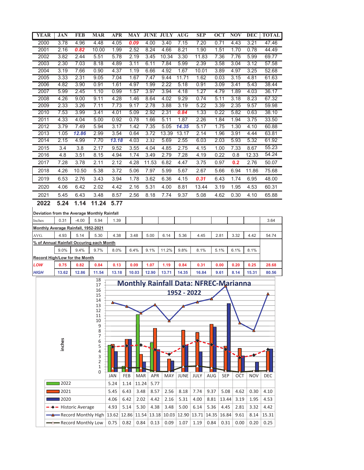| <b>YEAR</b>  | <b>JAN</b>                                 | <b>FEB</b>            | <b>MAR</b>                    | <b>APR</b>   |      | <b>MAY</b> |            | <b>JUNE JULY</b>                             | <b>AUG</b>  | <b>SEP</b> |                   | <b>OCT</b> | <b>NOV</b> | <b>DEC</b> | <b>TOTAL</b> |
|--------------|--------------------------------------------|-----------------------|-------------------------------|--------------|------|------------|------------|----------------------------------------------|-------------|------------|-------------------|------------|------------|------------|--------------|
| 2000         | 3.78                                       | 4.96                  | 4.48                          | 4.05         |      | 0.09       | 4.00       | 3.40                                         | 7.15        | 7.20       |                   | 0.71       | 4.43       | 3.21       | 47.46        |
| 2001         | 2.16                                       | 0.82                  | 10.00                         | 1.99         |      | 2.52       | 8.24       | 4.66                                         | 8.21        | 1.90       |                   | 1.51       | 1.70       | 0.78       | 44.49        |
| 2002         | 3.82                                       | 2.44                  | 5.51                          | 5.78         |      | 2.19       | 3.45       | 10.34                                        | 3.30        | 11.83      |                   | 7.36       | 7.76       | 5.99       | 69.77        |
| 2003         | 2.30                                       | 7.03                  | 8.18                          | 4.89         |      | 3.11       | 6.11       | 7.84                                         | 5.99        | 2.39       |                   | 3.58       | 3.04       | 3.12       | 57.58        |
| 2004         | 3.19                                       | 7.66                  | 0.90                          | 4.37         |      | 1.19       | 6.66       | 4.92                                         | 1.67        | 10.01      |                   | 3.89       | 4.97       | 3.25       | 52.68        |
| 2005         | 3.33                                       | 2.31                  | 9.05                          | 7.04         |      | 1.67       | 7.47       | 9.44                                         | 11.71       | 1.62       |                   | 0.03       | 3.15       | 4.81       | 61.63        |
| 2006         | 4.82                                       | 3.90                  | 0.91                          | 1.61         |      | 4.97       | 1.99       | 2.22                                         | 5.18        | 0.91       |                   | 3.09       | 3.41       | 5.43       | 38.44        |
| 2007         | 5.99                                       | 2.45                  | 1.10                          | 0.99         |      | 1.57       | 3.97       | 3.94                                         | 4.18        | 1.27       |                   | 4.79       | 1.89       | 4.03       | 36.17        |
| 2008         | 4.26                                       | 9.00                  | 9.11                          | 4.28         |      | 1.46       | 8.64       | 4.02                                         | 9.29        | 0.74       |                   | 5.11       | 3.18       | 8.23       | 67.32        |
| 2009         | 2.33                                       | 3.26                  | 7.11                          | 7.73         |      | 9.17       | 2.78       | 3.88                                         | 3.19        | 5.22       |                   | 3.39       | 2.35       | 9.57       | 59.98        |
| 2010         | 7.53                                       | 3.99                  | 3.41                          | 4.01         |      | 5.09       | 2.92       | 2.31                                         | 0.84        | 1.33       |                   | 0.22       | 5.82       | 0.63       | 38.10        |
| 2011         | 4.33                                       | 4.04                  | 5.00                          | 0.92         |      | 0.78       | 1.66       | 5.11                                         | 1.87        | 2.26       |                   | 1.84       | 1.94       | 3.75       | 33.50        |
| 2012         | 3.79                                       | 7.49                  | 5.94                          | 3.17         |      | 1.42       | 7.35       | 5.05                                         | 14.35       | 5.17       |                   | 1.75       | 1.30       | 4.10       | 60.88        |
| 2013         | 1.05                                       | 12.86                 | 2.99                          | 3.54         |      | 0.64       | 3.72       | 13.39                                        | 13.17       | 2.14       |                   | 1.96       | 3.91       | 4.44       | 63.81        |
| 2014         | 2.15                                       | 4.99                  | 7.70                          | 13.18        |      | 4.03       | 2.32       | 5.69                                         | 2.55        | 6.03       |                   | 2.03       | 5.93       | 5.32       | 61.92        |
| 2015         | 3.4                                        | 3.8                   | 2.17                          | 9.52         |      | 3.55       | 4.04       | 4.85                                         | 2.75        | 4.15       |                   | 1.00       | 7.33       | 8.67       | 55.23        |
| 2016         | 4.8                                        | 3.51                  | 8.15                          | 4.94         |      | 1.74       | 3.49       | 2.79                                         | 7.28        | 4.19       |                   | 0.22       | 0.8        | 12.33      | 54.24        |
| 2017         | 7.28                                       | 3.78                  | 2.11                          | 2.12         |      | 4.28       | 11.53      | 6.82                                         | 4.47        | 3.75       |                   | 0.97       | 0.2        | 2.76       | 50.07        |
| 2018         | 4.26                                       | 10.50                 | 5.38                          | 3.72         |      | 5.06       | 7.97       | 5.99                                         | 5.67        | 2.67       |                   | 5.66       | 6.94       | 11.86      | 75.68        |
| 2019         | 6.53                                       | 2.76                  | 3.43                          | 3.94         |      | 1.78       | 3.62       | 6.36                                         | 4.15        | 0.31       |                   | 6.43       | 1.74       | 6.95       | 48.00        |
| 2020         | 4.06                                       | 6.42                  | 2.02                          | 4.42         |      | 2.16       | 5.31       | 4.00                                         | 8.81        | 13.44      |                   | 3.19       | 1.95       | 4.53       | 60.31        |
|              |                                            |                       |                               |              |      |            |            |                                              |             |            |                   |            |            |            |              |
| 2021<br>2022 | 5.45<br>5.24                               | 6.43<br>1.14          | 3.48<br>11.24                 | 8.57<br>5.77 |      | 2.56       | 8.18       | 7.74                                         | 9.37        | 5.08       |                   | 4.62       | 0.30       | 4.10       | 65.88        |
|              | <b>Monthly Average Rainfall, 1952-2021</b> |                       |                               |              |      |            |            |                                              |             |            |                   |            |            |            |              |
| AVG.         | 4.93                                       | 5.14                  | 5.30                          | 4.38         |      | 3.48       | 5.00       | 6.14                                         | 5.36        | 4.45       |                   | 2.81       | 3.32       | 4.42       | 54.74        |
|              | % of Annual Rainfall Occuring each Month   |                       |                               |              |      |            |            |                                              |             |            |                   |            |            |            |              |
|              | 9.0%                                       | 9.4%                  | 9.7%                          | $8.0\%$      |      | 6.4%       | 9.1%       | 11.2%                                        | 9.8%        | 8.1%       |                   | 5.1%       | 6.1%       | 8.1%       |              |
|              | <b>Record High/Low for the Month</b>       |                       |                               |              |      |            |            |                                              |             |            |                   |            |            |            |              |
| LOW          | 0.75                                       | 0.82                  | 0.84                          | 0.13         |      | 0.09       | 1.07       | 1.19                                         | 0.84        | 0.31       |                   | 0.00       | 0.20       | 0.25       | 28.68        |
| <b>HIGH</b>  | 13.62                                      | 12.86                 | 11.54                         | 13.18        |      | 10.03      | 12.90      | 13.71                                        | 14.35       | 16.84      |                   | 9.61       | 8.14       | 15.31      | 80.56        |
|              |                                            |                       | 18                            |              |      |            |            | <b>Monthly Rainfall Data: NFREC-Marianna</b> |             |            |                   |            |            |            |              |
|              |                                            |                       | 17<br>16                      |              |      |            |            |                                              |             |            |                   |            |            |            |              |
|              |                                            |                       | 15                            |              |      |            |            |                                              | 1952 - 2022 |            |                   |            |            |            |              |
|              |                                            |                       | 14<br>13                      | ▵            |      |            |            |                                              |             |            |                   |            |            |            |              |
|              |                                            |                       | 12                            |              |      |            |            |                                              |             |            |                   |            |            |            |              |
|              |                                            |                       | 11<br>10                      |              |      |            |            |                                              |             |            |                   |            |            |            |              |
|              |                                            |                       | 9                             |              |      |            |            |                                              |             |            |                   |            |            |            |              |
|              |                                            |                       | 8<br>7                        |              |      |            |            |                                              |             |            |                   |            |            |            |              |
|              |                                            |                       | 6                             |              |      |            |            |                                              |             |            |                   |            |            |            |              |
|              | inches                                     |                       | 5                             |              |      |            |            |                                              |             |            |                   |            |            |            |              |
|              |                                            |                       | 4<br>3                        |              |      |            |            |                                              |             |            |                   |            |            |            |              |
|              |                                            |                       | $\overline{c}$                |              |      |            |            |                                              |             |            |                   |            |            |            |              |
|              |                                            |                       | $\mathbf 1$<br>$\overline{0}$ |              |      |            |            |                                              |             |            |                   |            |            |            |              |
|              |                                            |                       |                               | JAN          | FEB  | <b>MAR</b> | <b>APR</b> | MAY                                          | JUNE        | JULY       | AUG               | <b>SEP</b> | OCT        | <b>NOV</b> | DEC          |
|              | ■2022                                      |                       |                               | 5.24         | 1.14 | 11.24      | 5.77       |                                              |             |            |                   |            |            |            |              |
|              | 12021                                      |                       |                               | 5.45         | 6.43 | 3.48       | 8.57       | 2.56                                         | 8.18        | 7.74       | 9.37              | 5.08       | 4.62       | 0.30       | 4.10         |
|              | 2020                                       |                       |                               | 4.06         | 6.42 | 2.02       | 4.42       | 2.16                                         | 5.31        | 4.00       | 8.81              | 13.44      | 3.19       | 1.95       | 4.53         |
|              |                                            | - Historic Average    |                               | 4.93         | 5.14 | 5.30       | 4.38       | 3.48                                         | 5.00        | 6.14       | 5.36              | 4.45       | 2.81       | 3.32       | 4.42         |
|              |                                            | - Record Monthly High |                               | 13.62 12.86  |      | 11.54      |            | 13.18 10.03                                  | 12.90       |            | 13.71 14.35 16.84 |            | 9.61       | 8.14       | 15.31        |
|              |                                            | - Record Monthly Low  |                               | 0.75         | 0.82 | 0.84       | 0.13       | 0.09                                         | 1.07        | 1.19       | 0.84              | 0.31       | 0.00       | 0.20       | 0.25         |
|              |                                            |                       |                               |              |      |            |            |                                              |             |            |                   |            |            |            |              |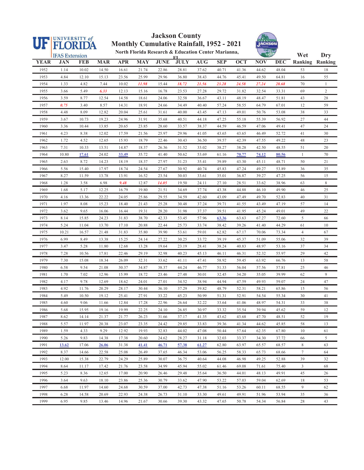

#### **Jackson County Monthly Cumulative Rainfall, 1952 - 2021**



|             | <b>THE STATE</b><br>North Florida Research & Education Center Marianna,<br><b>IFAS</b> Extension |            |            |            |            |             |                   | Wet        | <b>Dry</b> |            |            |            |                  |                        |
|-------------|--------------------------------------------------------------------------------------------------|------------|------------|------------|------------|-------------|-------------------|------------|------------|------------|------------|------------|------------------|------------------------|
| <b>YEAR</b> | JAN                                                                                              | <b>FEB</b> | <b>MAR</b> | <b>APR</b> | <b>MAY</b> | <b>JUNE</b> | FI<br><b>JULY</b> | <b>AUG</b> | <b>SEP</b> | <b>OCT</b> | <b>NOV</b> | <b>DEC</b> |                  | <b>Ranking Ranking</b> |
| 1952        | 1.14                                                                                             | 10.02      | 14.50      | 16.61      | 21.74      | 22.86       | 28.81             | 37.62      | 40.71      | 41.36      | 44.62      | 48.04      | 53               | 18                     |
| 1953        | 4.84                                                                                             | 12.10      | 15.13      | 23.56      | 25.99      | 29.96       | 36.80             | 38.43      | 44.76      | 45.41      | 49.50      | 64.81      | 16               | 55                     |
| 1954        | 1.33                                                                                             | 4.82       | 7.44       | 10.02      | 11.98      | 15.44       | 18.72             | 21.56      | 23.28      | 24.58      | 27.24      | 28.68      | 70               | $\mathbf{1}$           |
| 1955        | 3.66                                                                                             | 5.49       | 6.33       | 12.13      | 15.16      | 16.78       | 23.53             | 27.28      | 29.72      | 31.82      | 32.54      | 33.31      | 69               | $\overline{c}$         |
| 1956        | 3.59                                                                                             | 8.77       | 12.54      | 14.58      | 18.61      | 24.06       | 32.58             | 36.67      | 43.11      | 48.19      | 48.47      | 51.81      | 43               | 28                     |
| 1957        | 0.75                                                                                             | 3.40       | 8.57       | 14.31      | 18.91      | 24.66       | 34.49             | 40.40      | 57.24      | 58.55      | 64.79      | 67.01      | 12               | 59                     |
| 1958        | 4.48                                                                                             | 8.09       | 12.82      | 20.04      | 25.61      | 31.61       | 40.00             | 43.45      | 47.13      | 49.01      | 50.76      | 53.08      | 38               | 33                     |
| 1959        | 3.67                                                                                             | 10.73      | 19.23      | 24.96      | 31.91      | 35.68       | 40.51             | 44.18      | 47.25      | 55.18      | 55.39      | 56.92      | 27               | 44                     |
| 1960        | 3.36                                                                                             | 10.44      | 13.85      | 20.65      | 23.85      | 28.60       | 33.57             | 38.37      | 44.59      | 46.59      | 47.06      | 49.41      | 47               | 24                     |
| 1961        | 4.23                                                                                             | 8.38       | 12.02      | 17.59      | 21.56      | 25.97       | 29.96             | 41.05      | 43.65      | 43.65      | 46.49      | 52.72      | 41               | 30                     |
| 1962        | 1.72                                                                                             | 4.52       | 12.65      | 15.93      | 18.79      | 22.46       | 30.43             | 36.50      | 39.57      | 42.39      | 47.55      | 49.22      | 48               | 23                     |
| 1963        | 7.31                                                                                             | 10.33      | 13.51      | 14.87      | 18.37      | 26.36       | 31.52             | 33.02      | 38.27      | 38.28      | 42.50      | 48.55      | 51               | 20                     |
| 1964        | 10.80                                                                                            | 17.61      | 24.02      | 33.49      | 35.72      | 41.40       | 50.62             | 53.69      | 61.16      | 70.77      | 74.12      | 80.56      | $\mathbf{1}$     | $70\,$                 |
| 1965        | 2.63                                                                                             | 8.72       | 14.23      | 18.19      | 18.37      | 27.97       | 31.23             | 35.41      | 39.89      | 43.30      | 45.11      | 48.71      | 50               | 21                     |
| 1966        | 5.56                                                                                             | 15.40      | 17.97      | 18.74      | 24.54      | 27.67       | 30.92             | 40.74      | 45.83      | 47.24      | 49.27      | 53.89      | 36               | 35                     |
| 1967        | 8.27                                                                                             | 11.59      | 13.78      | 13.91      | 16.52      | 23.54       | 30.03             | 33.61      | 35.01      | 36.87      | 39.27      | 47.25      | 56               | 15                     |
| 1968        | 1.28                                                                                             | 3.58       | 6.98       | 9.48       | 12.87      | 14.05       | 19.50             | 24.11      | 27.10      | 28.51      | 33.62      | 38.96      | 63               | 8                      |
| 1969        | 1.68                                                                                             | 5.17       | 12.25      | 16.79      | 19.80      | 21.51       | 34.69             | 37.74      | 43.38      | 44.88      | 46.10      | 49.90      | 46               | 25                     |
| 1970        | 4.16                                                                                             | 13.36      | 22.22      | 24.05      | 25.86      | 29.55       | 34.59             | 42.60      | 43.09      | 47.49      | 49.70      | 52.83      | 40               | 31                     |
| 1971        | 1.97                                                                                             | 8.08       | 15.23      | 18.40      | 21.43      | 25.28       | 30.48             | 37.24      | 39.71      | 41.55      | 43.49      | 47.19      | 57               | 14                     |
| 1972        | 3.62                                                                                             | 9.65       | 16.06      | 16.44      | 19.31      | 28.20       | 31.98             | 37.37      | 39.51      | 41.95      | 45.24      | 49.01      | 49               | $22\,$                 |
| 1973        | 8.14                                                                                             | 15.85      | 24.23      | 31.83      | 38.70      | 42.33       | 53.45             | 57.96      | 63.36      | 63.63      | 67.27      | 72.60      | 5                | 66                     |
| 1974        | 5.24                                                                                             | 11.04      | 13.70      | 17.10      | 20.88      | 22.44       | 25.73             | 33.74      | 38.42      | 39.26      | 41.40      | 44.29      | 61               | 10                     |
| 1975        | 10.21                                                                                            | 16.57      | 21.48      | 31.83      | 35.80      | 39.90       | 53.61             | 59.01      | 62.82      | 67.17      | 70.06      | 73.34      | $\overline{4}$   | 67                     |
| 1976        | 6.99                                                                                             | 8.49       | 13.38      | 15.25      | 24.14      | 27.22       | 30.25             | 33.72      | 39.19      | 45.37      | 51.09      | 55.06      | 32               | 39                     |
| 1977        | 3.47                                                                                             | 5.28       | 11.80      | 12.68      | 13.28      | 19.64       | 23.19             | 28.41      | 38.24      | 40.83      | 48.97      | 53.16      | 37               | 34                     |
| 1978        | 7.28                                                                                             | 10.56      | 17.81      | 22.46      | 29.19      | 32.98       | 40.23             | 45.13      | 46.11      | 46.31      | 52.32      | 55.97      | 29               | 42                     |
| 1979        | 7.30                                                                                             | 15.08      | 18.34      | 26.09      | 32.31      | 33.62       | 41.11             | 47.41      | 58.92      | 59.45      | 63.92      | 66.76      | 13               | 58                     |
| 1980        | 6.58                                                                                             | 9.54       | 21.08      | 30.37      | 34.87      | 38.37       | 44.24             | 46.77      | 51.33      | 56.04      | 57.56      | 57.81      | 25               | 46                     |
| 1981        | 1.70                                                                                             | 7.02       | 12.96      | 15.99      | 18.72      | 23.46       | 27.48             | 30.01      | 32.45      | 34.20      | 35.05      | 39.99      | 62               | 9                      |
| 1982        | 4.17                                                                                             | 9.78       | 12.69      | 18.62      | 24.01      | 27.01       | 34.52             | 38.94      | 44.94      | 47.59      | 49.93      | 59.07      | 24               | $47\,$                 |
| 1983        | 4.92                                                                                             | 11.76      | 20.29      | 28.17      | 30.44      | 36.10       | 37.29             | 39.82      | 48.79      | 52.31      | 58.21      | 65.86      | 15               | 56                     |
| 1984        | 5.49                                                                                             | 10.50      | 19.12      | 25.41      | 27.91      | 33.22       | 45.23             | 50.99      | 51.31      | 52.91      | 54.54      | 55.34      | 30               | 41                     |
| 1985        | 4.60                                                                                             | 9.06       | 11.66      | 12.84      | 17.28      | 22.96       | 26.64             | 32.22      | 33.64      | 41.06      | 48.97      | 54.31      | 33               | $38\,$                 |
| 1986        | 5.68                                                                                             | 15.95      | 19.16      | 19.99      | 22.25      | 24.10       | 26.85             | 30.97      | 33.32      | 35.54      | 39.94      | 45.62      | 59               | 12                     |
| 1987        | 8.62                                                                                             | 14.14      | 21.37      | 21.77      | 26.23      | 31.66       | 37.17             | 41.35      | 43.62      | 43.68      | 47.70      | 48.51      | 52               | 19                     |
| 1988        | 5.57                                                                                             | 11.97      | 20.38      | 23.07      | 23.35      | 24.42       | 29.85             | 33.83      | 39.36      | 41.34      | 44.62      | 45.85      | 58               | 13                     |
| 1989        | 1.59                                                                                             | 4.33       | 9.29       | 12.92      | 19.93      | 32.83       | 44.02             | 47.08      | 50.44      | 57.64      | 62.35      | 67.80      | 10               | 61                     |
| 1990        | 5.26                                                                                             | 9.83       | 14.38      | 17.38      | 20.60      | 24.62       | 28.27             | 31.18      | 32.03      | 33.37      | 34.30      | 37.72      | 66               | 5                      |
| 1991        | 13.62                                                                                            | 17.06      | 26.06      | 31.38      | 41.41      | 46.71       | 57.38             | 61.27      | 62.80      | 63.97      | 65.57      | 68.57      | 8                | 63                     |
| 1992        | 8.37                                                                                             | 14.66      | 22.58      | 25.08      | 26.49      | 37.65       | 46.34             | 53.06      | 56.25      | 58.33      | 65.73      | 68.66      | $\boldsymbol{7}$ | 64                     |
| 1993        | 12.00                                                                                            | 15.38      | 22.79      | 24.29      | 25.89      | 30.07       | 36.75             | 40.64      | 44.08      | 46.98      | 49.25      | 52.88      | 39               | 32                     |
| 1994        | 8.64                                                                                             | 11.17      | 17.42      | 21.76      | 23.58      | 34.99       | 45.94             | 55.02      | 61.46      | 69.08      | 71.61      | 75.40      | 3                | 68                     |
| 1995        | 5.23                                                                                             | 8.36       | 12.65      | 17.00      | 20.90      | 26.46       | 29.48             | 35.64      | 36.50      | 44.01      | 48.13      | 49.91      | 45               | 26                     |
| 1996        | 3.64                                                                                             | 9.63       | 18.10      | 23.86      | 25.36      | 30.79       | 33.62             | 47.90      | 53.22      | 57.03      | 59.04      | 62.69      | 18               | 53                     |
| 1997        | 6.68                                                                                             | 11.97      | 14.60      | 24.68      | 30.59      | 37.00       | 42.73             | 47.38      | 51.16      | 53.26      | 60.11      | 68.55      | 9                | 62                     |
| 1998        | 6.28                                                                                             | 14.58      | 20.69      | 22.93      | 24.38      | 26.73       | 31.10             | 33.30      | 49.61      | 49.91      | 51.96      | 53.94      | 35               | 36                     |
| 1999        | 6.95                                                                                             | 9.85       | 13.46      | 14.96      | 21.67      | 30.66       | 39.30             | 43.32      | 47.65      | 50.78      | 54.34      | 56.84      | 28               | 43                     |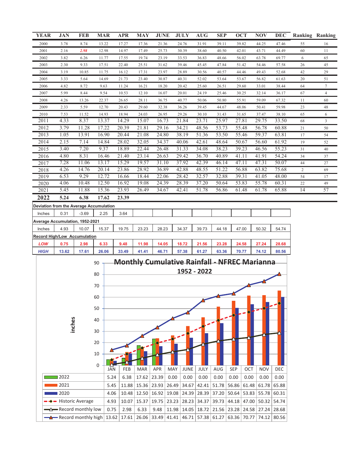| <b>YEAR</b>                                |  | <b>JAN</b>   | <b>FEB</b>                              | <b>MAR</b>     |            | <b>APR</b>     | <b>MAY</b>              | <b>JUNE</b>    |            | <b>JULY</b>    | <b>AUG</b>                                          | <b>SEP</b>                    |             | <b>OCT</b>     | <b>NOV</b>        |                | <b>DEC</b> Ranking Ranking |                |
|--------------------------------------------|--|--------------|-----------------------------------------|----------------|------------|----------------|-------------------------|----------------|------------|----------------|-----------------------------------------------------|-------------------------------|-------------|----------------|-------------------|----------------|----------------------------|----------------|
| 2000                                       |  | 3.78         | 8.74                                    | 13.22          |            | 17.27          | 17.36                   | 21.36          |            | 24.76          | 31.91                                               | 39.11                         |             | 39.82          | 44.25             | 47.46          | 55                         | 16             |
| 2001                                       |  | 2.16         | 2.98                                    | 12.98          |            | 14.97          | 17.49                   | 25.73          |            | 30.39          | 38.60                                               | 40.50                         |             | 42.01          | 43.71             | 44.49          | 60                         | 11             |
| 2002                                       |  | 3.82         | 6.26                                    | 11.77          |            | 17.55          | 19.74                   | 23.19          |            | 33.53          | 36.83                                               | 48.66                         |             | 56.02          | 63.78             | 69.77          | 6                          | 65             |
| 2003                                       |  | 2.30         | 9.33                                    | 17.51          |            | 22.40          | 25.51                   | 31.62          |            | 39.46          | 45.45                                               | 47.84                         |             | 51.42          | 54.46             | 57.58          | 26                         | 45             |
| 2004                                       |  | 3.19         | 10.85                                   | 11.75          |            | 16.12          | 17.31                   | 23.97          |            | 28.89          | 30.56                                               | 40.57                         |             | 44.46          | 49.43             | 52.68          | 42                         | 29             |
| 2005                                       |  | 3.33         | 5.64                                    | 14.69          |            | 21.73          | 23.40                   | 30.87          |            | 40.31          | 52.02                                               | 53.64                         |             | 53.67          | 56.82             | 61.63          | 20                         | 51             |
| 2006                                       |  | 4.82         | 8.72                                    | 9.63           |            | 11.24          | 16.21                   | 18.20          |            | 20.42          | 25.60                                               | 26.51                         |             | 29.60          | 33.01             | 38.44          | 64                         | 7              |
| 2007                                       |  | 5.99         | 8.44                                    | 9.54           |            | 10.53          | 12.10                   | 16.07          |            | 20.01          | 24.19                                               | 25.46                         |             | 30.25          | 32.14             | 36.17          | 67                         | 4              |
| 2008                                       |  | 4.26         | 13.26                                   | 22.37          |            | 26.65          | 28.11                   | 36.75          |            | 40.77          | 50.06                                               | 50.80                         |             | 55.91          | 59.09             | 67.32          | 11                         | 60             |
| 2009                                       |  | 2.33         | 5.59                                    | 12.70          |            | 20.43          | 29.60                   | 32.38          |            | 36.26          | 39.45                                               | 44.67                         |             | 48.06          | 50.41             | 59.98          | 23                         | 48             |
| 2010<br>2011                               |  | 7.53<br>4.33 | 11.52<br>8.37                           | 14.93<br>13.37 |            | 18.94<br>14.29 | 24.03<br>15.07          | 26.95<br>16.73 |            | 29.26<br>21.84 | 30.10<br>23.71                                      | 31.43<br>25.97                |             | 31.65<br>27.81 | 37.47<br>29.75    | 38.10<br>33.50 | 65                         | 6              |
| 2012                                       |  | 3.79         | 11.28                                   | 17.22          |            | 20.39          | 21.81                   | 29.16          |            | 34.21          | 48.56                                               | 53.73                         |             | 55.48          | 56.78             | 60.88          | 68                         | $\mathfrak{Z}$ |
| 2013                                       |  | 1.05         | 13.91                                   | 16.90          |            | 20.44          | 21.08                   | 24.80          |            | 38.19          | 51.36                                               | 53.50                         |             | 55.46          | 59.37             | 63.81          | 21<br>17                   | 50<br>54       |
| 2014                                       |  | 2.15         | 7.14                                    | 14.84          |            | 28.02          | 32.05                   | 34.37          |            | 40.06          | 42.61                                               | 48.64                         |             | 50.67          | 56.60             | 61.92          | 19                         | 52             |
| 2015                                       |  | 3.40         | 7.20                                    | 9.37           |            | 18.89          | 22.44                   | 26.48          |            | 31.33          | 34.08                                               | 38.23                         |             | 39.23          | 46.56             | 55.23          | 31                         | 40             |
| 2016                                       |  | 4.80         | 8.31                                    | 16.46          |            | 21.40          | 23.14                   | 26.63          |            | 29.42          | 36.70                                               | 40.89                         |             | 41.11          | 41.91             | 54.24          | 34                         | 37             |
| 2017                                       |  | 7.28         | 11.06                                   | 13.17          |            | 15.29          | 19.57                   | 31.10          |            | 37.92          | 42.39                                               | 46.14                         |             | 47.11          | 47.31             | 50.07          | 44                         | 27             |
| 2018                                       |  | 4.26         | 14.76                                   | 20.14          |            | 23.86          | 28.92                   | 36.89          |            | 42.88          | 48.55                                               | 51.22                         |             | 56.88          | 63.82             | 75.68          | $\overline{c}$             | 69             |
| 2019                                       |  | 6.53         | 9.29                                    | 12.72          |            | 16.66          | 18.44                   | 22.06          |            | 28.42          | 32.57                                               | 32.88                         |             | 39.31          | 41.05             | 48.00          | 54                         | 17             |
| 2020                                       |  | 4.06         | 10.48                                   | 12.50          |            | 16.92          | 19.08                   | 24.39          |            | 28.39          | 37.20                                               | 50.64                         |             | 53.83          | 55.78             | 60.31          | 22                         | 49             |
| 2021                                       |  | 5.45         | 11.88                                   | 15.36          |            | 23.93          | 26.49                   | 34.67          |            | 42.41          | 51.78                                               | 56.86                         |             | 61.48          | 61.78             | 65.88          | 14                         | 57             |
| 2022                                       |  | 5.24         | 6.38                                    | 17.62          |            | 23.39          |                         |                |            |                |                                                     |                               |             |                |                   |                |                            |                |
|                                            |  |              | Deviation from the Average Accumulation |                |            |                |                         |                |            |                |                                                     |                               |             |                |                   |                |                            |                |
| Inches                                     |  | 0.31         | $-3.69$                                 | 2.25           |            | 3.64           |                         |                |            |                |                                                     |                               |             |                |                   |                |                            |                |
|                                            |  |              | Average Accumulation, 1952-2021         |                |            |                |                         |                |            |                |                                                     |                               |             |                |                   |                |                            |                |
| Inches                                     |  | 4.93         | 10.07                                   | 15.37          |            | 19.75          | 23.23                   | 28.23          |            | 34.37          | 39.73                                               | 44.18                         |             | 47.00          | 50.32             | 54.74          |                            |                |
|                                            |  |              | <b>Record High/Low Accumulation</b>     |                |            |                |                         |                |            |                |                                                     |                               |             |                |                   |                |                            |                |
| LOW                                        |  | 0.75         | 2.98                                    | 6.33           |            | 9.48           | 11.98                   | 14.05          |            | 18.72          | 21.56                                               | 23.28                         |             | 24.58          | 27.24             | 28.68          |                            |                |
| <b>HIGH</b>                                |  | 13.62        | 17.61                                   | 26.06          |            | 33.49          | 41.41                   | 46.71          |            | 57.38          | 61.27                                               | 63.36                         |             | 70.77          | 74.12             | 80.56          |                            |                |
|                                            |  |              |                                         |                |            |                |                         |                |            |                |                                                     |                               |             |                |                   |                |                            |                |
|                                            |  |              |                                         | 90             |            |                |                         |                |            |                | <b>Monthly Cumulative Rainfall - NFREC Marianna</b> |                               |             |                |                   |                |                            |                |
|                                            |  |              |                                         | 80             |            |                |                         |                |            |                | 1952 - 2022                                         |                               |             |                |                   |                |                            |                |
|                                            |  |              |                                         |                |            |                |                         |                |            |                |                                                     |                               |             |                |                   |                |                            |                |
|                                            |  |              |                                         | 70             |            |                |                         |                |            |                |                                                     |                               |             |                |                   |                |                            |                |
|                                            |  |              |                                         | 60             |            |                |                         |                |            |                |                                                     |                               |             |                |                   |                |                            |                |
|                                            |  |              |                                         |                |            |                |                         |                |            |                |                                                     |                               |             |                |                   |                |                            |                |
|                                            |  |              |                                         | 50             |            |                |                         |                |            |                |                                                     |                               |             |                |                   |                |                            |                |
|                                            |  |              |                                         | 40             |            |                |                         |                |            |                |                                                     |                               |             |                |                   |                |                            |                |
|                                            |  | inches       |                                         |                |            |                |                         |                |            |                |                                                     |                               |             |                |                   |                |                            |                |
|                                            |  |              |                                         | 30             |            |                |                         |                |            |                |                                                     |                               |             |                |                   |                |                            |                |
|                                            |  |              |                                         | 20             |            |                |                         |                |            |                |                                                     |                               |             |                |                   |                |                            |                |
|                                            |  |              |                                         |                |            |                |                         |                |            |                |                                                     |                               |             |                |                   |                |                            |                |
|                                            |  |              |                                         | 10             |            |                |                         |                |            |                |                                                     |                               |             |                |                   |                |                            |                |
|                                            |  |              |                                         | 0              |            |                |                         |                |            |                |                                                     |                               |             |                |                   |                |                            |                |
|                                            |  |              |                                         |                | <b>JAN</b> | FEB            | <b>MAR</b>              | <b>APR</b>     | <b>MAY</b> | JUNE           | JULY                                                | AUG                           | <b>SEP</b>  | OCT            | <b>NOV</b>        | <b>DEC</b>     |                            |                |
|                                            |  | ■2022        |                                         |                | 5.24       | 6.38           | 17.62                   | 23.39          | 0.00       | 0.00           | 0.00                                                | 0.00                          | 0.00        | 0.00           | 0.00              | 0.00           |                            |                |
|                                            |  | 2021         |                                         |                | 5.45       | 11.88          | 15.36 23.93             |                | 26.49      | 34.67          | 42.41                                               |                               | 51.78 56.86 | 61.48          | 61.78             | 65.88          |                            |                |
|                                            |  | ■ 2020       |                                         |                | 4.06       |                | $10.48$   12.50   16.92 |                | 19.08      | 24.39          | 28.39                                               | $37.20$ 50.64                 |             |                | 53.83 55.78 60.31 |                |                            |                |
|                                            |  |              |                                         |                | 4.93       | 10.07          | 15.37                   | 19.75          | 23.23      | 28.23          | 34.37                                               | 39.73                         | 44.18       | 47.00          | 50.32             | 54.74          |                            |                |
| - Historic Average<br>- Record monthly low |  |              |                                         |                | 0.75       | 2.98           | 6.33                    | 9.48           | 11.98      | 14.05          |                                                     | 18.72 21.56 23.28 24.58 27.24 |             |                |                   | 28.68          |                            |                |
|                                            |  |              |                                         |                |            |                |                         |                |            |                |                                                     |                               |             |                |                   |                |                            |                |
|                                            |  |              | Record monthly high                     |                | 13.62      |                | 17.61 26.06 33.49       |                | 41.41      | 46.71          |                                                     | 57.38 61.27 63.36 70.77       |             |                | 74.12             | 80.56          |                            |                |